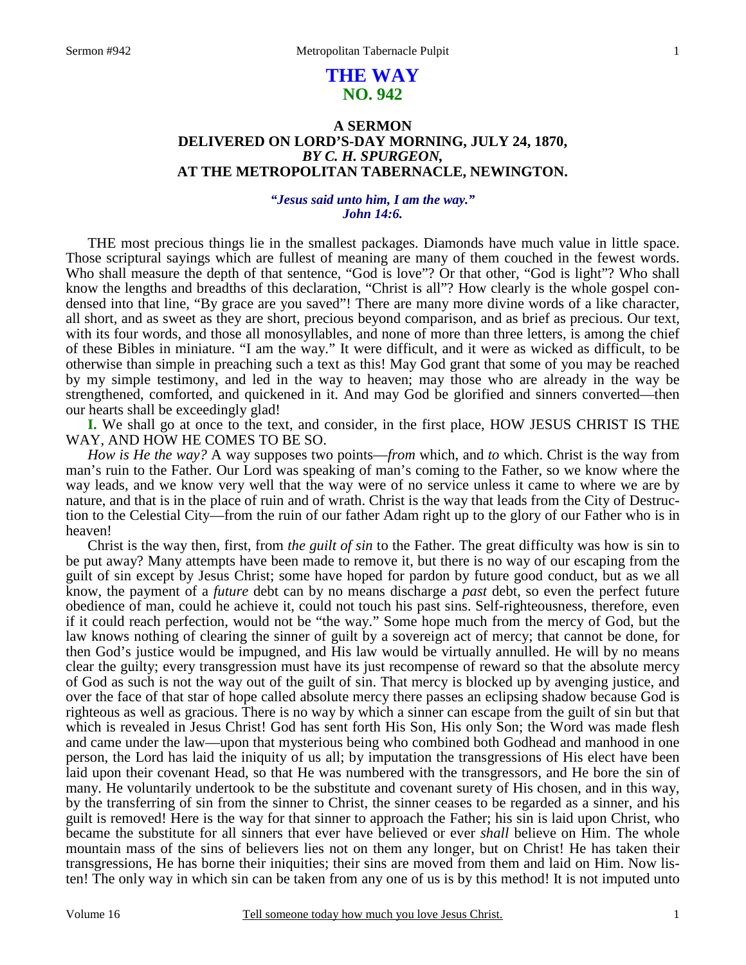# **THE WAY NO. 942**

## **A SERMON DELIVERED ON LORD'S-DAY MORNING, JULY 24, 1870,**  *BY C. H. SPURGEON,*  **AT THE METROPOLITAN TABERNACLE, NEWINGTON.**

### *"Jesus said unto him, I am the way." John 14:6.*

THE most precious things lie in the smallest packages. Diamonds have much value in little space. Those scriptural sayings which are fullest of meaning are many of them couched in the fewest words. Who shall measure the depth of that sentence, "God is love"? Or that other, "God is light"? Who shall know the lengths and breadths of this declaration, "Christ is all"? How clearly is the whole gospel condensed into that line, "By grace are you saved"! There are many more divine words of a like character, all short, and as sweet as they are short, precious beyond comparison, and as brief as precious. Our text, with its four words, and those all monosyllables, and none of more than three letters, is among the chief of these Bibles in miniature. "I am the way." It were difficult, and it were as wicked as difficult, to be otherwise than simple in preaching such a text as this! May God grant that some of you may be reached by my simple testimony, and led in the way to heaven; may those who are already in the way be strengthened, comforted, and quickened in it. And may God be glorified and sinners converted—then our hearts shall be exceedingly glad!

**I.** We shall go at once to the text, and consider, in the first place, HOW JESUS CHRIST IS THE WAY, AND HOW HE COMES TO BE SO.

*How is He the way?* A way supposes two points—*from* which, and *to* which. Christ is the way from man's ruin to the Father. Our Lord was speaking of man's coming to the Father, so we know where the way leads, and we know very well that the way were of no service unless it came to where we are by nature, and that is in the place of ruin and of wrath. Christ is the way that leads from the City of Destruction to the Celestial City—from the ruin of our father Adam right up to the glory of our Father who is in heaven!

Christ is the way then, first, from *the guilt of sin* to the Father. The great difficulty was how is sin to be put away? Many attempts have been made to remove it, but there is no way of our escaping from the guilt of sin except by Jesus Christ; some have hoped for pardon by future good conduct, but as we all know, the payment of a *future* debt can by no means discharge a *past* debt, so even the perfect future obedience of man, could he achieve it, could not touch his past sins. Self-righteousness, therefore, even if it could reach perfection, would not be "the way." Some hope much from the mercy of God, but the law knows nothing of clearing the sinner of guilt by a sovereign act of mercy; that cannot be done, for then God's justice would be impugned, and His law would be virtually annulled. He will by no means clear the guilty; every transgression must have its just recompense of reward so that the absolute mercy of God as such is not the way out of the guilt of sin. That mercy is blocked up by avenging justice, and over the face of that star of hope called absolute mercy there passes an eclipsing shadow because God is righteous as well as gracious. There is no way by which a sinner can escape from the guilt of sin but that which is revealed in Jesus Christ! God has sent forth His Son, His only Son; the Word was made flesh and came under the law—upon that mysterious being who combined both Godhead and manhood in one person, the Lord has laid the iniquity of us all; by imputation the transgressions of His elect have been laid upon their covenant Head, so that He was numbered with the transgressors, and He bore the sin of many. He voluntarily undertook to be the substitute and covenant surety of His chosen, and in this way, by the transferring of sin from the sinner to Christ, the sinner ceases to be regarded as a sinner, and his guilt is removed! Here is the way for that sinner to approach the Father; his sin is laid upon Christ, who became the substitute for all sinners that ever have believed or ever *shall* believe on Him. The whole mountain mass of the sins of believers lies not on them any longer, but on Christ! He has taken their transgressions, He has borne their iniquities; their sins are moved from them and laid on Him. Now listen! The only way in which sin can be taken from any one of us is by this method! It is not imputed unto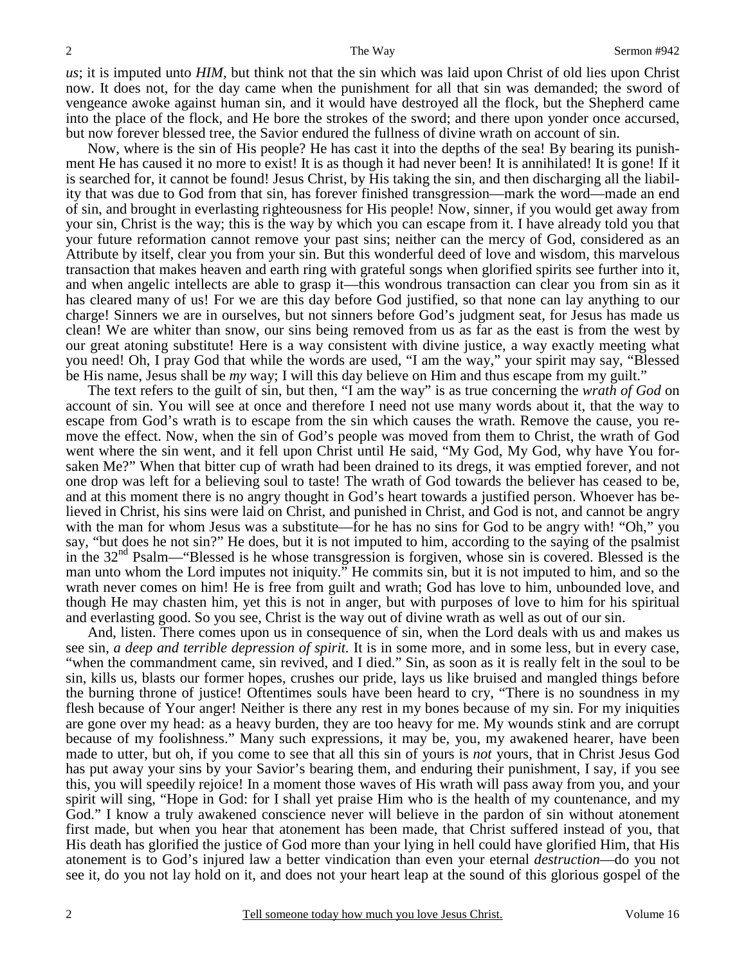*us*; it is imputed unto *HIM,* but think not that the sin which was laid upon Christ of old lies upon Christ now. It does not, for the day came when the punishment for all that sin was demanded; the sword of vengeance awoke against human sin, and it would have destroyed all the flock, but the Shepherd came into the place of the flock, and He bore the strokes of the sword; and there upon yonder once accursed, but now forever blessed tree, the Savior endured the fullness of divine wrath on account of sin.

Now, where is the sin of His people? He has cast it into the depths of the sea! By bearing its punishment He has caused it no more to exist! It is as though it had never been! It is annihilated! It is gone! If it is searched for, it cannot be found! Jesus Christ, by His taking the sin, and then discharging all the liability that was due to God from that sin, has forever finished transgression—mark the word—made an end of sin, and brought in everlasting righteousness for His people! Now, sinner, if you would get away from your sin, Christ is the way; this is the way by which you can escape from it. I have already told you that your future reformation cannot remove your past sins; neither can the mercy of God, considered as an Attribute by itself, clear you from your sin. But this wonderful deed of love and wisdom, this marvelous transaction that makes heaven and earth ring with grateful songs when glorified spirits see further into it, and when angelic intellects are able to grasp it—this wondrous transaction can clear you from sin as it has cleared many of us! For we are this day before God justified, so that none can lay anything to our charge! Sinners we are in ourselves, but not sinners before God's judgment seat, for Jesus has made us clean! We are whiter than snow, our sins being removed from us as far as the east is from the west by our great atoning substitute! Here is a way consistent with divine justice, a way exactly meeting what you need! Oh, I pray God that while the words are used, "I am the way," your spirit may say, "Blessed be His name, Jesus shall be *my* way; I will this day believe on Him and thus escape from my guilt."

The text refers to the guilt of sin, but then, "I am the way" is as true concerning the *wrath of God* on account of sin. You will see at once and therefore I need not use many words about it, that the way to escape from God's wrath is to escape from the sin which causes the wrath. Remove the cause, you remove the effect. Now, when the sin of God's people was moved from them to Christ, the wrath of God went where the sin went, and it fell upon Christ until He said, "My God, My God, why have You forsaken Me?" When that bitter cup of wrath had been drained to its dregs, it was emptied forever, and not one drop was left for a believing soul to taste! The wrath of God towards the believer has ceased to be, and at this moment there is no angry thought in God's heart towards a justified person. Whoever has believed in Christ, his sins were laid on Christ, and punished in Christ, and God is not, and cannot be angry with the man for whom Jesus was a substitute—for he has no sins for God to be angry with! "Oh," you say, "but does he not sin?" He does, but it is not imputed to him, according to the saying of the psalmist in the 32<sup>nd</sup> Psalm—"Blessed is he whose transgression is forgiven, whose sin is covered. Blessed is the man unto whom the Lord imputes not iniquity." He commits sin, but it is not imputed to him, and so the wrath never comes on him! He is free from guilt and wrath; God has love to him, unbounded love, and though He may chasten him, yet this is not in anger, but with purposes of love to him for his spiritual and everlasting good. So you see, Christ is the way out of divine wrath as well as out of our sin.

And, listen. There comes upon us in consequence of sin, when the Lord deals with us and makes us see sin, *a deep and terrible depression of spirit.* It is in some more, and in some less, but in every case, "when the commandment came, sin revived, and I died." Sin, as soon as it is really felt in the soul to be sin, kills us, blasts our former hopes, crushes our pride, lays us like bruised and mangled things before the burning throne of justice! Oftentimes souls have been heard to cry, "There is no soundness in my flesh because of Your anger! Neither is there any rest in my bones because of my sin. For my iniquities are gone over my head: as a heavy burden, they are too heavy for me. My wounds stink and are corrupt because of my foolishness." Many such expressions, it may be, you, my awakened hearer, have been made to utter, but oh, if you come to see that all this sin of yours is *not* yours, that in Christ Jesus God has put away your sins by your Savior's bearing them, and enduring their punishment, I say, if you see this, you will speedily rejoice! In a moment those waves of His wrath will pass away from you, and your spirit will sing, "Hope in God: for I shall yet praise Him who is the health of my countenance, and my God." I know a truly awakened conscience never will believe in the pardon of sin without atonement first made, but when you hear that atonement has been made, that Christ suffered instead of you, that His death has glorified the justice of God more than your lying in hell could have glorified Him, that His atonement is to God's injured law a better vindication than even your eternal *destruction*—do you not see it, do you not lay hold on it, and does not your heart leap at the sound of this glorious gospel of the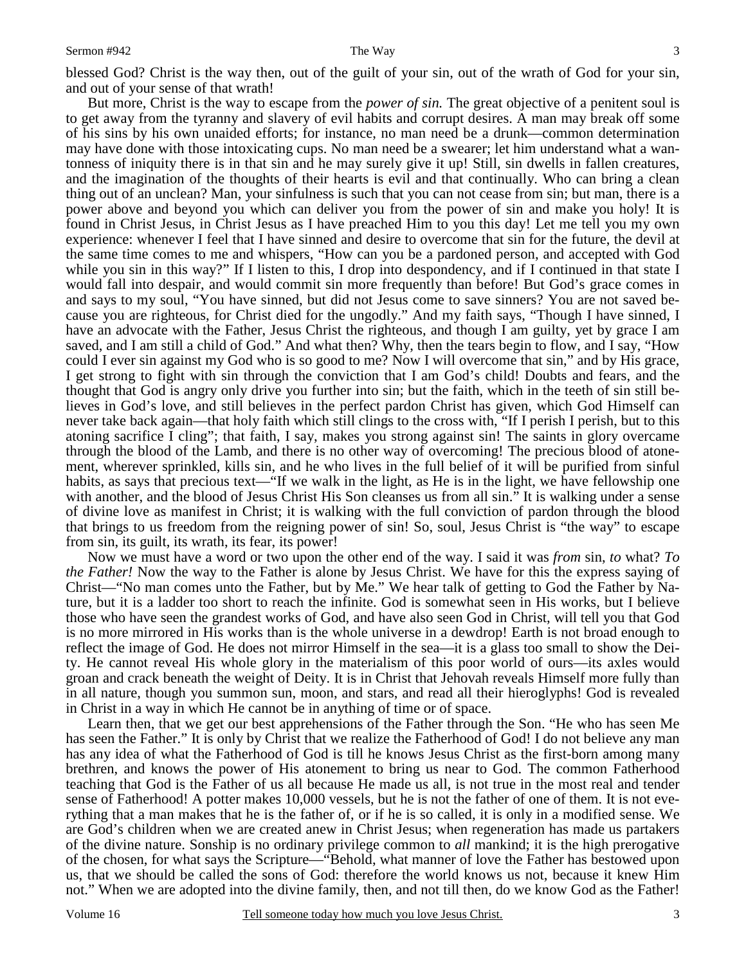blessed God? Christ is the way then, out of the guilt of your sin, out of the wrath of God for your sin, and out of your sense of that wrath!

But more, Christ is the way to escape from the *power of sin.* The great objective of a penitent soul is to get away from the tyranny and slavery of evil habits and corrupt desires. A man may break off some of his sins by his own unaided efforts; for instance, no man need be a drunk—common determination may have done with those intoxicating cups. No man need be a swearer; let him understand what a wantonness of iniquity there is in that sin and he may surely give it up! Still, sin dwells in fallen creatures, and the imagination of the thoughts of their hearts is evil and that continually. Who can bring a clean thing out of an unclean? Man, your sinfulness is such that you can not cease from sin; but man, there is a power above and beyond you which can deliver you from the power of sin and make you holy! It is found in Christ Jesus, in Christ Jesus as I have preached Him to you this day! Let me tell you my own experience: whenever I feel that I have sinned and desire to overcome that sin for the future, the devil at the same time comes to me and whispers, "How can you be a pardoned person, and accepted with God while you sin in this way?" If I listen to this, I drop into despondency, and if I continued in that state I would fall into despair, and would commit sin more frequently than before! But God's grace comes in and says to my soul, "You have sinned, but did not Jesus come to save sinners? You are not saved because you are righteous, for Christ died for the ungodly." And my faith says, "Though I have sinned, I have an advocate with the Father, Jesus Christ the righteous, and though I am guilty, yet by grace I am saved, and I am still a child of God." And what then? Why, then the tears begin to flow, and I say, "How could I ever sin against my God who is so good to me? Now I will overcome that sin," and by His grace, I get strong to fight with sin through the conviction that I am God's child! Doubts and fears, and the thought that God is angry only drive you further into sin; but the faith, which in the teeth of sin still believes in God's love, and still believes in the perfect pardon Christ has given, which God Himself can never take back again—that holy faith which still clings to the cross with, "If I perish I perish, but to this atoning sacrifice I cling"; that faith, I say, makes you strong against sin! The saints in glory overcame through the blood of the Lamb, and there is no other way of overcoming! The precious blood of atonement, wherever sprinkled, kills sin, and he who lives in the full belief of it will be purified from sinful habits, as says that precious text—"If we walk in the light, as He is in the light, we have fellowship one with another, and the blood of Jesus Christ His Son cleanses us from all sin." It is walking under a sense of divine love as manifest in Christ; it is walking with the full conviction of pardon through the blood that brings to us freedom from the reigning power of sin! So, soul, Jesus Christ is "the way" to escape from sin, its guilt, its wrath, its fear, its power!

Now we must have a word or two upon the other end of the way. I said it was *from* sin, *to* what? *To the Father!* Now the way to the Father is alone by Jesus Christ. We have for this the express saying of Christ—"No man comes unto the Father, but by Me." We hear talk of getting to God the Father by Nature, but it is a ladder too short to reach the infinite. God is somewhat seen in His works, but I believe those who have seen the grandest works of God, and have also seen God in Christ, will tell you that God is no more mirrored in His works than is the whole universe in a dewdrop! Earth is not broad enough to reflect the image of God. He does not mirror Himself in the sea—it is a glass too small to show the Deity. He cannot reveal His whole glory in the materialism of this poor world of ours—its axles would groan and crack beneath the weight of Deity. It is in Christ that Jehovah reveals Himself more fully than in all nature, though you summon sun, moon, and stars, and read all their hieroglyphs! God is revealed in Christ in a way in which He cannot be in anything of time or of space.

Learn then, that we get our best apprehensions of the Father through the Son. "He who has seen Me has seen the Father." It is only by Christ that we realize the Fatherhood of God! I do not believe any man has any idea of what the Fatherhood of God is till he knows Jesus Christ as the first-born among many brethren, and knows the power of His atonement to bring us near to God. The common Fatherhood teaching that God is the Father of us all because He made us all, is not true in the most real and tender sense of Fatherhood! A potter makes 10,000 vessels, but he is not the father of one of them. It is not everything that a man makes that he is the father of, or if he is so called, it is only in a modified sense. We are God's children when we are created anew in Christ Jesus; when regeneration has made us partakers of the divine nature. Sonship is no ordinary privilege common to *all* mankind; it is the high prerogative of the chosen, for what says the Scripture—"Behold, what manner of love the Father has bestowed upon us, that we should be called the sons of God: therefore the world knows us not, because it knew Him not." When we are adopted into the divine family, then, and not till then, do we know God as the Father!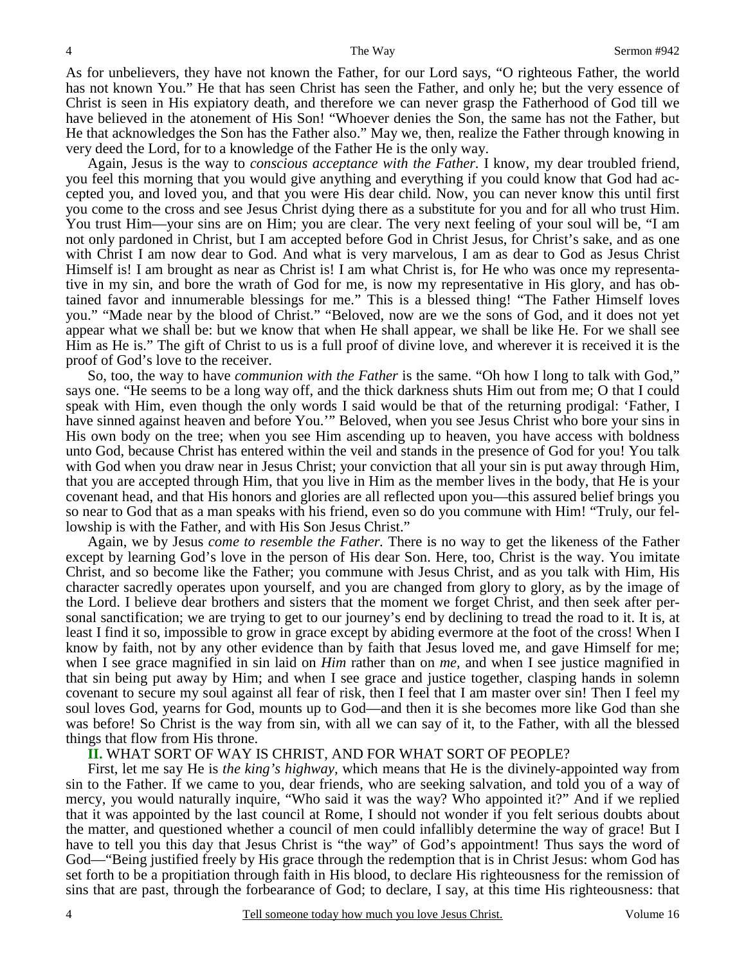As for unbelievers, they have not known the Father, for our Lord says, "O righteous Father, the world has not known You." He that has seen Christ has seen the Father, and only he; but the very essence of Christ is seen in His expiatory death, and therefore we can never grasp the Fatherhood of God till we have believed in the atonement of His Son! "Whoever denies the Son, the same has not the Father, but He that acknowledges the Son has the Father also." May we, then, realize the Father through knowing in very deed the Lord, for to a knowledge of the Father He is the only way.

Again, Jesus is the way to *conscious acceptance with the Father.* I know, my dear troubled friend, you feel this morning that you would give anything and everything if you could know that God had accepted you, and loved you, and that you were His dear child. Now, you can never know this until first you come to the cross and see Jesus Christ dying there as a substitute for you and for all who trust Him. You trust Him—your sins are on Him; you are clear. The very next feeling of your soul will be, "I am not only pardoned in Christ, but I am accepted before God in Christ Jesus, for Christ's sake, and as one with Christ I am now dear to God. And what is very marvelous, I am as dear to God as Jesus Christ Himself is! I am brought as near as Christ is! I am what Christ is, for He who was once my representative in my sin, and bore the wrath of God for me, is now my representative in His glory, and has obtained favor and innumerable blessings for me." This is a blessed thing! "The Father Himself loves you." "Made near by the blood of Christ." "Beloved, now are we the sons of God, and it does not yet appear what we shall be: but we know that when He shall appear, we shall be like He. For we shall see Him as He is." The gift of Christ to us is a full proof of divine love, and wherever it is received it is the proof of God's love to the receiver.

So, too, the way to have *communion with the Father* is the same. "Oh how I long to talk with God," says one. "He seems to be a long way off, and the thick darkness shuts Him out from me; O that I could speak with Him, even though the only words I said would be that of the returning prodigal: 'Father, I have sinned against heaven and before You.'" Beloved, when you see Jesus Christ who bore your sins in His own body on the tree; when you see Him ascending up to heaven, you have access with boldness unto God, because Christ has entered within the veil and stands in the presence of God for you! You talk with God when you draw near in Jesus Christ; your conviction that all your sin is put away through Him, that you are accepted through Him, that you live in Him as the member lives in the body, that He is your covenant head, and that His honors and glories are all reflected upon you—this assured belief brings you so near to God that as a man speaks with his friend, even so do you commune with Him! "Truly, our fellowship is with the Father, and with His Son Jesus Christ."

Again, we by Jesus *come to resemble the Father.* There is no way to get the likeness of the Father except by learning God's love in the person of His dear Son. Here, too, Christ is the way. You imitate Christ, and so become like the Father; you commune with Jesus Christ, and as you talk with Him, His character sacredly operates upon yourself, and you are changed from glory to glory, as by the image of the Lord. I believe dear brothers and sisters that the moment we forget Christ, and then seek after personal sanctification; we are trying to get to our journey's end by declining to tread the road to it. It is, at least I find it so, impossible to grow in grace except by abiding evermore at the foot of the cross! When I know by faith, not by any other evidence than by faith that Jesus loved me, and gave Himself for me; when I see grace magnified in sin laid on *Him* rather than on *me,* and when I see justice magnified in that sin being put away by Him; and when I see grace and justice together, clasping hands in solemn covenant to secure my soul against all fear of risk, then I feel that I am master over sin! Then I feel my soul loves God, yearns for God, mounts up to God—and then it is she becomes more like God than she was before! So Christ is the way from sin, with all we can say of it, to the Father, with all the blessed things that flow from His throne.

## **II.** WHAT SORT OF WAY IS CHRIST, AND FOR WHAT SORT OF PEOPLE?

First, let me say He is *the king's highway,* which means that He is the divinely-appointed way from sin to the Father. If we came to you, dear friends, who are seeking salvation, and told you of a way of mercy, you would naturally inquire, "Who said it was the way? Who appointed it?" And if we replied that it was appointed by the last council at Rome, I should not wonder if you felt serious doubts about the matter, and questioned whether a council of men could infallibly determine the way of grace! But I have to tell you this day that Jesus Christ is "the way" of God's appointment! Thus says the word of God—"Being justified freely by His grace through the redemption that is in Christ Jesus: whom God has set forth to be a propitiation through faith in His blood, to declare His righteousness for the remission of sins that are past, through the forbearance of God; to declare, I say, at this time His righteousness: that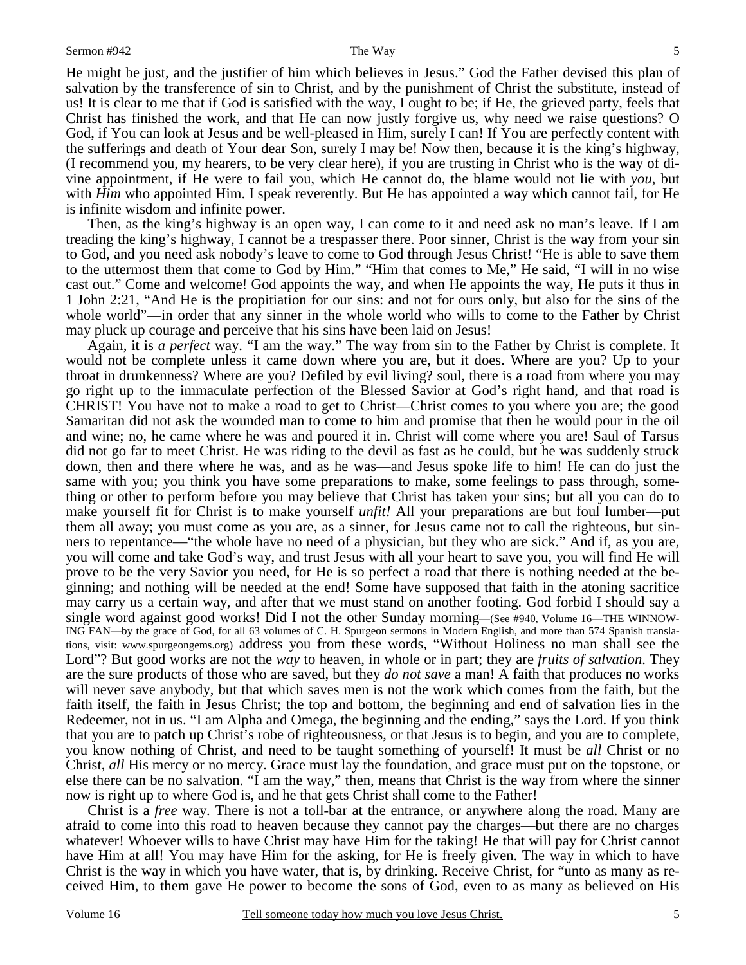He might be just, and the justifier of him which believes in Jesus." God the Father devised this plan of salvation by the transference of sin to Christ, and by the punishment of Christ the substitute, instead of us! It is clear to me that if God is satisfied with the way, I ought to be; if He, the grieved party, feels that Christ has finished the work, and that He can now justly forgive us, why need we raise questions? O God, if You can look at Jesus and be well-pleased in Him, surely I can! If You are perfectly content with the sufferings and death of Your dear Son, surely I may be! Now then, because it is the king's highway, (I recommend you, my hearers, to be very clear here), if you are trusting in Christ who is the way of divine appointment, if He were to fail you, which He cannot do, the blame would not lie with *you*, but with *Him* who appointed Him. I speak reverently. But He has appointed a way which cannot fail, for He is infinite wisdom and infinite power.

Then, as the king's highway is an open way, I can come to it and need ask no man's leave. If I am treading the king's highway, I cannot be a trespasser there. Poor sinner, Christ is the way from your sin to God, and you need ask nobody's leave to come to God through Jesus Christ! "He is able to save them to the uttermost them that come to God by Him." "Him that comes to Me," He said, "I will in no wise cast out." Come and welcome! God appoints the way, and when He appoints the way, He puts it thus in 1 John 2:21, "And He is the propitiation for our sins: and not for ours only, but also for the sins of the whole world"—in order that any sinner in the whole world who wills to come to the Father by Christ may pluck up courage and perceive that his sins have been laid on Jesus!

Again, it is *a perfect* way. "I am the way." The way from sin to the Father by Christ is complete. It would not be complete unless it came down where you are, but it does. Where are you? Up to your throat in drunkenness? Where are you? Defiled by evil living? soul, there is a road from where you may go right up to the immaculate perfection of the Blessed Savior at God's right hand, and that road is CHRIST! You have not to make a road to get to Christ—Christ comes to you where you are; the good Samaritan did not ask the wounded man to come to him and promise that then he would pour in the oil and wine; no, he came where he was and poured it in. Christ will come where you are! Saul of Tarsus did not go far to meet Christ. He was riding to the devil as fast as he could, but he was suddenly struck down, then and there where he was, and as he was—and Jesus spoke life to him! He can do just the same with you; you think you have some preparations to make, some feelings to pass through, something or other to perform before you may believe that Christ has taken your sins; but all you can do to make yourself fit for Christ is to make yourself *unfit!* All your preparations are but foul lumber—put them all away; you must come as you are, as a sinner, for Jesus came not to call the righteous, but sinners to repentance—"the whole have no need of a physician, but they who are sick." And if, as you are, you will come and take God's way, and trust Jesus with all your heart to save you, you will find He will prove to be the very Savior you need, for He is so perfect a road that there is nothing needed at the beginning; and nothing will be needed at the end! Some have supposed that faith in the atoning sacrifice may carry us a certain way, and after that we must stand on another footing. God forbid I should say a single word against good works! Did I not the other Sunday morning—(See #940, Volume 16—THE WINNOW-ING FAN—by the grace of God, for all 63 volumes of C. H. Spurgeon sermons in Modern English, and more than 574 Spanish translations, visit: www.spurgeongems.org) address you from these words, "Without Holiness no man shall see the Lord"? But good works are not the *way* to heaven, in whole or in part; they are *fruits of salvation*. They are the sure products of those who are saved, but they *do not save* a man! A faith that produces no works will never save anybody, but that which saves men is not the work which comes from the faith, but the faith itself, the faith in Jesus Christ; the top and bottom, the beginning and end of salvation lies in the Redeemer, not in us. "I am Alpha and Omega, the beginning and the ending," says the Lord. If you think that you are to patch up Christ's robe of righteousness, or that Jesus is to begin, and you are to complete, you know nothing of Christ, and need to be taught something of yourself! It must be *all* Christ or no Christ, *all* His mercy or no mercy. Grace must lay the foundation, and grace must put on the topstone, or else there can be no salvation. "I am the way," then, means that Christ is the way from where the sinner now is right up to where God is, and he that gets Christ shall come to the Father!

Christ is a *free* way. There is not a toll-bar at the entrance, or anywhere along the road. Many are afraid to come into this road to heaven because they cannot pay the charges—but there are no charges whatever! Whoever wills to have Christ may have Him for the taking! He that will pay for Christ cannot have Him at all! You may have Him for the asking, for He is freely given. The way in which to have Christ is the way in which you have water, that is, by drinking. Receive Christ, for "unto as many as received Him, to them gave He power to become the sons of God, even to as many as believed on His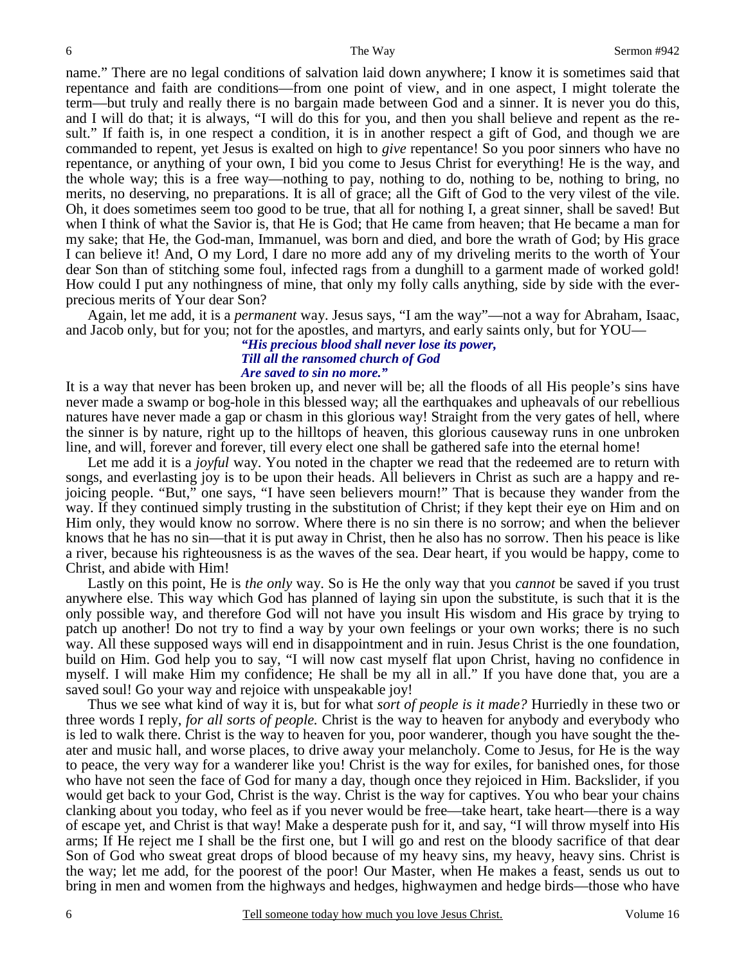name." There are no legal conditions of salvation laid down anywhere; I know it is sometimes said that repentance and faith are conditions—from one point of view, and in one aspect, I might tolerate the term—but truly and really there is no bargain made between God and a sinner. It is never you do this, and I will do that; it is always, "I will do this for you, and then you shall believe and repent as the result." If faith is, in one respect a condition, it is in another respect a gift of God, and though we are commanded to repent, yet Jesus is exalted on high to *give* repentance! So you poor sinners who have no repentance, or anything of your own, I bid you come to Jesus Christ for everything! He is the way, and the whole way; this is a free way—nothing to pay, nothing to do, nothing to be, nothing to bring, no merits, no deserving, no preparations. It is all of grace; all the Gift of God to the very vilest of the vile. Oh, it does sometimes seem too good to be true, that all for nothing I, a great sinner, shall be saved! But when I think of what the Savior is, that He is God; that He came from heaven; that He became a man for my sake; that He, the God-man, Immanuel, was born and died, and bore the wrath of God; by His grace I can believe it! And, O my Lord, I dare no more add any of my driveling merits to the worth of Your dear Son than of stitching some foul, infected rags from a dunghill to a garment made of worked gold! How could I put any nothingness of mine, that only my folly calls anything, side by side with the everprecious merits of Your dear Son?

Again, let me add, it is a *permanent* way. Jesus says, "I am the way"—not a way for Abraham, Isaac, and Jacob only, but for you; not for the apostles, and martyrs, and early saints only, but for YOU—

#### *"His precious blood shall never lose its power, Till all the ransomed church of God Are saved to sin no more."*

It is a way that never has been broken up, and never will be; all the floods of all His people's sins have never made a swamp or bog-hole in this blessed way; all the earthquakes and upheavals of our rebellious natures have never made a gap or chasm in this glorious way! Straight from the very gates of hell, where the sinner is by nature, right up to the hilltops of heaven, this glorious causeway runs in one unbroken line, and will, forever and forever, till every elect one shall be gathered safe into the eternal home!

Let me add it is a *joyful* way. You noted in the chapter we read that the redeemed are to return with songs, and everlasting joy is to be upon their heads. All believers in Christ as such are a happy and rejoicing people. "But," one says, "I have seen believers mourn!" That is because they wander from the way. If they continued simply trusting in the substitution of Christ; if they kept their eye on Him and on Him only, they would know no sorrow. Where there is no sin there is no sorrow; and when the believer knows that he has no sin—that it is put away in Christ, then he also has no sorrow. Then his peace is like a river, because his righteousness is as the waves of the sea. Dear heart, if you would be happy, come to Christ, and abide with Him!

Lastly on this point, He is *the only* way. So is He the only way that you *cannot* be saved if you trust anywhere else. This way which God has planned of laying sin upon the substitute, is such that it is the only possible way, and therefore God will not have you insult His wisdom and His grace by trying to patch up another! Do not try to find a way by your own feelings or your own works; there is no such way. All these supposed ways will end in disappointment and in ruin. Jesus Christ is the one foundation, build on Him. God help you to say, "I will now cast myself flat upon Christ, having no confidence in myself. I will make Him my confidence; He shall be my all in all." If you have done that, you are a saved soul! Go your way and rejoice with unspeakable joy!

Thus we see what kind of way it is, but for what *sort of people is it made?* Hurriedly in these two or three words I reply, *for all sorts of people.* Christ is the way to heaven for anybody and everybody who is led to walk there. Christ is the way to heaven for you, poor wanderer, though you have sought the theater and music hall, and worse places, to drive away your melancholy. Come to Jesus, for He is the way to peace, the very way for a wanderer like you! Christ is the way for exiles, for banished ones, for those who have not seen the face of God for many a day, though once they rejoiced in Him. Backslider, if you would get back to your God, Christ is the way. Christ is the way for captives. You who bear your chains clanking about you today, who feel as if you never would be free—take heart, take heart—there is a way of escape yet, and Christ is that way! Make a desperate push for it, and say, "I will throw myself into His arms; If He reject me I shall be the first one, but I will go and rest on the bloody sacrifice of that dear Son of God who sweat great drops of blood because of my heavy sins, my heavy, heavy sins. Christ is the way; let me add, for the poorest of the poor! Our Master, when He makes a feast, sends us out to bring in men and women from the highways and hedges, highwaymen and hedge birds—those who have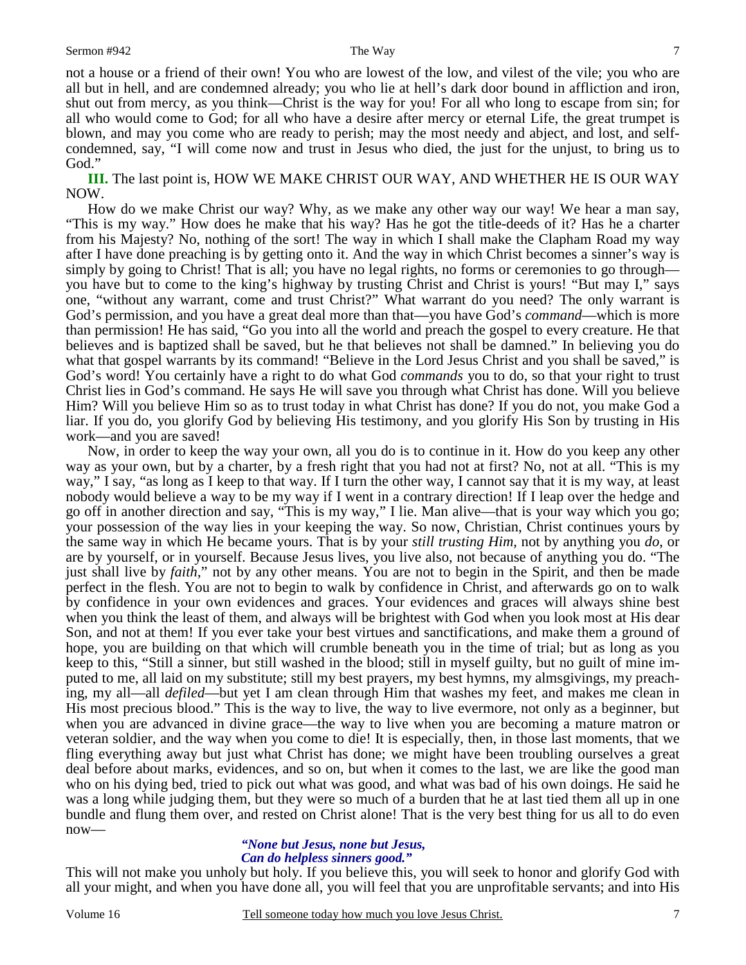God." **III.** The last point is, HOW WE MAKE CHRIST OUR WAY, AND WHETHER HE IS OUR WAY NOW.

condemned, say, "I will come now and trust in Jesus who died, the just for the unjust, to bring us to

How do we make Christ our way? Why, as we make any other way our way! We hear a man say, "This is my way." How does he make that his way? Has he got the title-deeds of it? Has he a charter from his Majesty? No, nothing of the sort! The way in which I shall make the Clapham Road my way after I have done preaching is by getting onto it. And the way in which Christ becomes a sinner's way is simply by going to Christ! That is all; you have no legal rights, no forms or ceremonies to go through you have but to come to the king's highway by trusting Christ and Christ is yours! "But may I," says one, "without any warrant, come and trust Christ?" What warrant do you need? The only warrant is God's permission, and you have a great deal more than that—you have God's *command*—which is more than permission! He has said, "Go you into all the world and preach the gospel to every creature. He that believes and is baptized shall be saved, but he that believes not shall be damned." In believing you do what that gospel warrants by its command! "Believe in the Lord Jesus Christ and you shall be saved," is God's word! You certainly have a right to do what God *commands* you to do, so that your right to trust Christ lies in God's command. He says He will save you through what Christ has done. Will you believe Him? Will you believe Him so as to trust today in what Christ has done? If you do not, you make God a liar. If you do, you glorify God by believing His testimony, and you glorify His Son by trusting in His work—and you are saved!

Now, in order to keep the way your own, all you do is to continue in it. How do you keep any other way as your own, but by a charter, by a fresh right that you had not at first? No, not at all. "This is my way," I say, "as long as I keep to that way. If I turn the other way, I cannot say that it is my way, at least nobody would believe a way to be my way if I went in a contrary direction! If I leap over the hedge and go off in another direction and say, "This is my way," I lie. Man alive—that is your way which you go; your possession of the way lies in your keeping the way. So now, Christian, Christ continues yours by the same way in which He became yours. That is by your *still trusting Him,* not by anything you *do*, or are by yourself, or in yourself. Because Jesus lives, you live also, not because of anything you do. "The just shall live by *faith*," not by any other means. You are not to begin in the Spirit, and then be made perfect in the flesh. You are not to begin to walk by confidence in Christ, and afterwards go on to walk by confidence in your own evidences and graces. Your evidences and graces will always shine best when you think the least of them, and always will be brightest with God when you look most at His dear Son, and not at them! If you ever take your best virtues and sanctifications, and make them a ground of hope, you are building on that which will crumble beneath you in the time of trial; but as long as you keep to this, "Still a sinner, but still washed in the blood; still in myself guilty, but no guilt of mine imputed to me, all laid on my substitute; still my best prayers, my best hymns, my almsgivings, my preaching, my all—all *defiled*—but yet I am clean through Him that washes my feet, and makes me clean in His most precious blood." This is the way to live, the way to live evermore, not only as a beginner, but when you are advanced in divine grace—the way to live when you are becoming a mature matron or veteran soldier, and the way when you come to die! It is especially, then, in those last moments, that we fling everything away but just what Christ has done; we might have been troubling ourselves a great deal before about marks, evidences, and so on, but when it comes to the last, we are like the good man who on his dying bed, tried to pick out what was good, and what was bad of his own doings. He said he was a long while judging them, but they were so much of a burden that he at last tied them all up in one bundle and flung them over, and rested on Christ alone! That is the very best thing for us all to do even now—

### *"None but Jesus, none but Jesus, Can do helpless sinners good."*

This will not make you unholy but holy. If you believe this, you will seek to honor and glorify God with all your might, and when you have done all, you will feel that you are unprofitable servants; and into His

7